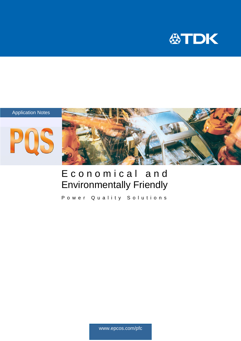



## Economical and Environmentally Friendly

Power Quality Solutions

www.epcos.com/pfc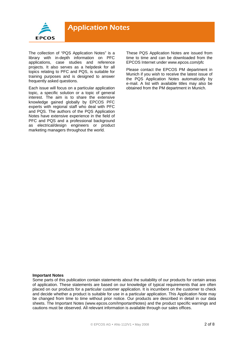

The collection of "PQS Application Notes" is a library with in-depth information on PFC applications, case studies and reference projects. It also serves as a helpdesk for all topics relating to PFC and PQS, is suitable for training purposes and is designed to answer frequently asked questions.

Each issue will focus on a particular application topic, a specific solution or a topic of general interest. The aim is to share the extensive knowledge gained globally by EPCOS PFC experts with regional staff who deal with PFC and PQS. The authors of the PQS Application Notes have extensive experience in the field of PFC and PQS and a professional background as electrical/design engineers or product marketing managers throughout the world.

These PQS Application Notes are issued from time to time and can be downloaded from the EPCOS Internet under www.epcos.com/pfc

Please contact the EPCOS PM department in Munich if you wish to receive the latest issue of the PQS Application Notes automatically by e-mail. A list with available titles may also be obtained from the PM department in Munich.

### **Important Notes**

Some parts of this publication contain statements about the suitability of our products for certain areas of application. These statements are based on our knowledge of typical requirements that are often placed on our products for a particular customer application. It is incumbent on the customer to check and decide whether a product is suitable for use in a particular application. This Application Note may be changed from time to time without prior notice. Our products are described in detail in our data sheets. The Important Notes (www.epcos.com/ImportantNotes) and the product specific warnings and cautions must be observed. All relevant information is available through our sales offices.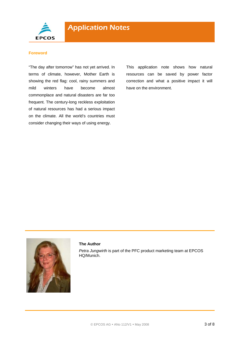

## **Foreword**

"The day after tomorrow" has not yet arrived. In terms of climate, however, Mother Earth is showing the red flag: cool, rainy summers and mild winters have become almost commonplace and natural disasters are far too frequent. The century-long reckless exploitation of natural resources has had a serious impact on the climate. All the world's countries must consider changing their ways of using energy.

This application note shows how natural resources can be saved by power factor correction and what a positive impact it will have on the environment.



## **The Author**

*Petra Jungwirth* is part of the PFC product marketing team at EPCOS HQ/Munich.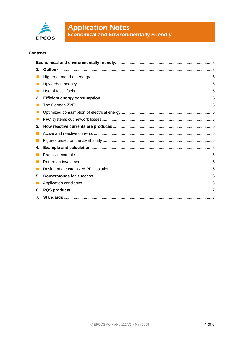

# **Application Notes**<br>Economical and Environmentally Friendly

## **Contents**

| 1. |  |  |  |
|----|--|--|--|
|    |  |  |  |
|    |  |  |  |
|    |  |  |  |
| 2. |  |  |  |
|    |  |  |  |
|    |  |  |  |
|    |  |  |  |
| 3. |  |  |  |
|    |  |  |  |
|    |  |  |  |
| 4. |  |  |  |
|    |  |  |  |
|    |  |  |  |
|    |  |  |  |
| 5. |  |  |  |
|    |  |  |  |
| 6. |  |  |  |
| 7. |  |  |  |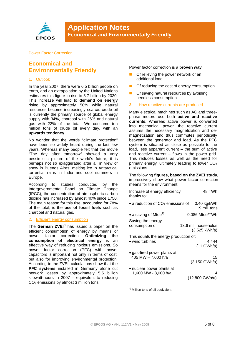

## Power Factor Correction

## **Economical and Environmentally Friendly**

## 1. Outlook

In the year 2007, there were 6.5 billion people on earth, and an extrapolation by the United Nations estimates this figure to rise to 8.7 billion by 2030. This increase will lead to **demand on energy** rising by approximately 50% while natural resources become increasingly scarce: crude oil is currently the primary source of global energy supply with 34%, charcoal with 26% and natural gas with 22% of the total. We consume ten million tons of crude oil every day, with an **upwards tendency**.

No wonder that the words "climate protection" have been so widely heard during the last few years. Whereas many people felt that the movie "The day after tomorrow" showed a very pessimistic picture of the world's future, it is perhaps not so exaggerated after all in view of snow in Buenos Aires, melting ice in Antarctica, torrential rains in India and cool summers in Europe.

According to studies conducted by the Intergovernmental Panel on Climate Change (IPCC), the concentration of atmospheric carbon dioxide has increased by almost 40% since 1750. The main reason for this rise, accounting for 78% of the total, is the **use of fossil fuels** such as charcoal and natural gas.

## 2. Efficient energy consumption

The **German ZVEI**\*) has issued a paper on the efficient consumption of energy by means of power factor correction. **Optimizing the consumption of electrical energy** is an effective way of reducing noxious emissions. So power factor correction (PFC) with power capacitors is important not only in terms of cost, but also for improving environmental protection. According to the ZVEI, calculations show that the **PFC systems** installed in Germany alone cut network losses by approximately 5.5 billion kilowatt-hours in 2007 – equivalent to reducing  $CO<sub>2</sub>$  emissions by almost 3 million tons!

Power factor correction is a **proven way**:

- Of relieving the power network of an additional load
- Of reducing the cost of energy consumption
- Of saving natural resources by avoiding needless consumption.
- **3.** How reactive currents are produced

Many electrical machines such as AC and threephase motors use both **active and reactive currents**. Whereas active power is converted into mechanical power, the reactive current assures the necessary magnetization and demagnetization and thus commutes periodically between the generator and load. As the PFC system is situated as close as possible to the load, less apparent current – the sum of active and reactive current – flows in the power grid. This reduces losses as well as the need for primary energy, ultimately leading to lower  $CO<sub>2</sub>$ emissions.

The following **figures, based on the ZVEI study**, impressively show what power factor correction means for the environment:

| Increase of energy efficiency<br>thanks to:       | 48 TWh                                |  |  |
|---------------------------------------------------|---------------------------------------|--|--|
| • a reduction of $CO2$ emissions of               | 0.40 kg/kWh<br>19 mil. tons           |  |  |
| • a saving of Mtoe <sup>1)</sup>                  | 0.086 Mtoe/TWh                        |  |  |
| Saving the energy<br>consumption of               | 13.6 mil. households<br>(3.525 kWh/a) |  |  |
| This equals the energy production of:             |                                       |  |  |
| • wind turbines                                   | 4,444<br>$(11$ GWh/a)                 |  |  |
| • gas-fired power plants at<br>405 MW - 7,000 h/a | 15<br>$(3, 150 \text{ GWh/a})$        |  |  |
| • nuclear power plants at<br>1,600 MW - 8,000 h/a | 4<br>(12,800 GWh/a)                   |  |  |

 $1)$  Million tons of oil equivalent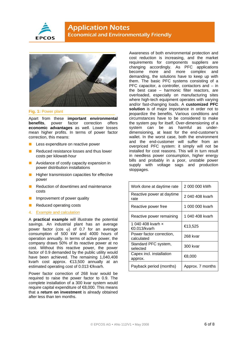



**Fig. 1:** Power plant

Apart from these **important environmental benefits**, power factor correction offers **economic advantages** as well. Lower losses mean higher profits. In terms of power factor correction, this means:

- Less expenditure on reactive power
- Reduced resistance losses and thus lower costs per kilowatt-hour
- Avoidance of costly capacity expansion in power distribution installations
- Higher transmission capacities for effective power
- Reduction of downtimes and maintenance costs
- Improvement of power quality
- Reduced operating costs
- 4. Example and calculation

A **practical example** will illustrate the potential savings. An industrial plant has an average power factor (cos  $\varphi$ ) of 0.7 for an average consumption of 500 kW and 4000 hours of operation annually. In terms of active power, the company draws 50% of its reactive power at no cost. Without this reactive power, the power factor of 0.9 demanded by the public utility would have been achieved. The remaining 1,040,408 kvarh cost approx. €13,500 annually at an estimated operating cost of 0.013 €/kvarh.

Power factor correction of 268 kvar would be required to raise the power factor to 0.9. The complete installation of a 300 kvar system would require capital expenditure of €8,000. This means that a **return on investment** is already obtained after less than ten months.

Awareness of both environmental protection and cost reduction is increasing, and the market requirements for components suppliers are changing accordingly. As PFC applications become more and more complex and demanding, the solutions have to keep up with them. The basic PFC systems consisting of a PFC capacitor, a controller, contactors and – in the best case – harmonic filter reactors, are overloaded, especially on manufacturing sites where high-tech equipment operates with varying and/or fast-changing loads. A **customized PFC solution** is of major importance in order not to jeopardize the benefits. Various conditions and circumstances have to be considered to make the system pay for itself. Over-dimensioning of a system can be as harmful as underdimensioning, at least for the end-customer's wallet. In the worst case, both the environment and the end-customer will suffer from an overpriced PFC system: it simply will not be installed for cost reasons. This will in turn result in needless power consumption, higher energy bills and probably in a poor, unstable power supply with voltage sags and production stoppages.

| Work done at daytime rate              | 2 000 000 kWh    |
|----------------------------------------|------------------|
| Reactive power at daytime<br>rate      | 2040 408 kvarh   |
| Reactive power free                    | 1 000 000 kvarh  |
| Reactive power remaining               | 1 040 408 kvarh  |
| 1 040 408 kvarh x<br>€0.013/kvarh      | €13,525          |
| Power factor correction,<br>calculated | 268 kvar         |
| Standard PFC system,<br>selected       | 300 kvar         |
| Capex incl. installation<br>approx.    | €8,000           |
| Payback period (months)                | Approx. 7 months |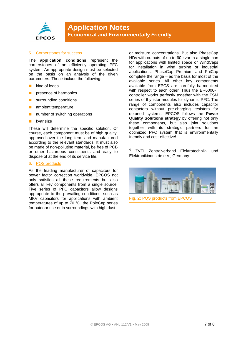

## 5. Cornerstones for success

The **application conditions** represent the cornerstones of an efficiently operating PFC system. An appropriate design must be selected on the basis on an analysis of the given parameters. These include the following:

- kind of loads
- presence of harmonics
- surrounding conditions
- ambient temperature
- number of switching operations
- $\blacksquare$  kvar size

These will determine the specific solution. Of course, each component must be of high quality, approved over the long term and manufactured according to the relevant standards. It must also be made of non-polluting material, be free of PCB or other hazardous constituents and easy to dispose of at the end of its service life.

#### 6. PQS products

As the leading manufacturer of capacitors for power factor correction worldwide, EPCOS not only satisfies all these requirements but also offers all key components from a single source. Five series of PFC capacitors allow designs appropriate to the prevailing conditions, such as MKV capacitors for applications with ambient temperatures of up to 70 °C, the PoleCap series for outdoor use or in surroundings with high dust

or moisture concentrations. But also PhaseCap HDs with outputs of up to 60 kvar in a single can for applications with limited space or WindCaps for installation in wind turbine or industrial applications. PhaseCap Premium and PhiCap complete the range – as the basis for most of the available series. All other key components available from EPCS are carefully harmonized with respect to each other. Thus the BR6000-T controller works perfectly together with the TSM series of thyristor modules for dynamic PFC. The range of components also includes capacitor contactors without pre-charging resistors for detuned systems. EPCOS follows the **Power Quality Solutions strategy** by offering not only these components, but also joint solutions together with its strategic partners for an optimized PFC system that is environmentally friendly and cost-effective!

\*) ZVEI Zentralverband Elektrotechnik- und Elektronikindustrie e.V., Germany



**Fig. 2:** PQS products from EPCOS